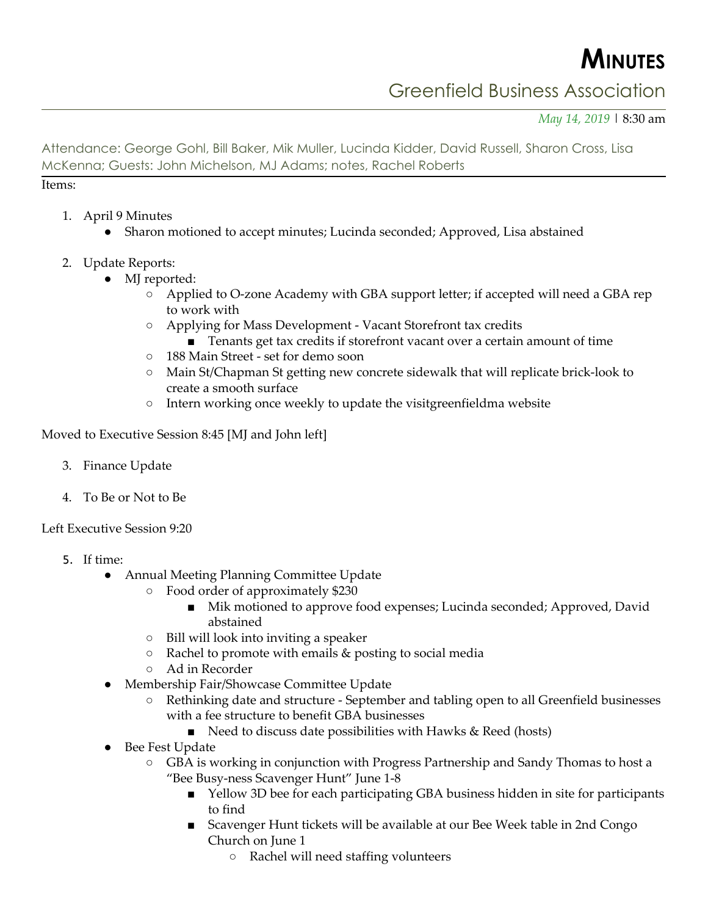**MINUTES**

## Greenfield Business Association

*May 14, 2019* | 8:30 am

Attendance: George Gohl, Bill Baker, Mik Muller, Lucinda Kidder, David Russell, Sharon Cross, Lisa McKenna; Guests: John Michelson, MJ Adams; notes, Rachel Roberts

Items:

- 1. April 9 Minutes
	- Sharon motioned to accept minutes; Lucinda seconded; Approved, Lisa abstained
- 2. Update Reports:
	- MJ reported:
		- Applied to O-zone Academy with GBA support letter; if accepted will need a GBA rep to work with
		- Applying for Mass Development Vacant Storefront tax credits
			- Tenants get tax credits if storefront vacant over a certain amount of time
		- 188 Main Street set for demo soon
		- Main St/Chapman St getting new concrete sidewalk that will replicate brick-look to create a smooth surface
		- Intern working once weekly to update the visitgreenfieldma website

Moved to Executive Session 8:45 [MJ and John left]

- 3. Finance Update
- 4. To Be or Not to Be

Left Executive Session 9:20

- 5. If time:
	- Annual Meeting Planning Committee Update
		- Food order of approximately \$230
			- Mik motioned to approve food expenses; Lucinda seconded; Approved, David abstained
		- Bill will look into inviting a speaker
		- Rachel to promote with emails & posting to social media
		- Ad in Recorder
	- Membership Fair/Showcase Committee Update
		- Rethinking date and structure September and tabling open to all Greenfield businesses with a fee structure to benefit GBA businesses
			- Need to discuss date possibilities with Hawks & Reed (hosts)
	- Bee Fest Update
		- GBA is working in conjunction with Progress Partnership and Sandy Thomas to host a "Bee Busy-ness Scavenger Hunt" June 1-8
			- Yellow 3D bee for each participating GBA business hidden in site for participants to find
			- Scavenger Hunt tickets will be available at our Bee Week table in 2nd Congo Church on June 1
				- Rachel will need staffing volunteers